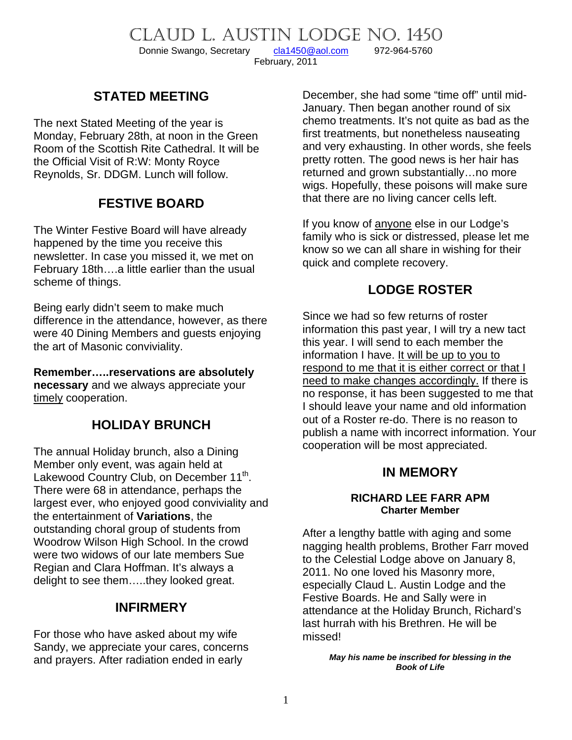CLAUD L. AUSTIN LODGE NO. 1450<br>Donnie Swango, Secretary cla1450@aol.com 972-964-5760

Donnie Swango, Secretary [cla1450@aol.com](mailto:cla1450@aol.com) 972-964-5760 February, 2011

# **STATED MEETING**

The next Stated Meeting of the year is Monday, February 28th, at noon in the Green Room of the Scottish Rite Cathedral. It will be the Official Visit of R:W: Monty Royce Reynolds, Sr. DDGM. Lunch will follow.

# **FESTIVE BOARD**

The Winter Festive Board will have already happened by the time you receive this newsletter. In case you missed it, we met on February 18th….a little earlier than the usual scheme of things.

Being early didn't seem to make much difference in the attendance, however, as there were 40 Dining Members and guests enjoying the art of Masonic conviviality.

**Remember…..reservations are absolutely necessary** and we always appreciate your timely cooperation.

# **HOLIDAY BRUNCH**

The annual Holiday brunch, also a Dining Member only event, was again held at Lakewood Country Club, on December 11<sup>th</sup>. There were 68 in attendance, perhaps the largest ever, who enjoyed good conviviality and the entertainment of **Variations**, the outstanding choral group of students from Woodrow Wilson High School. In the crowd were two widows of our late members Sue Regian and Clara Hoffman. It's always a delight to see them…..they looked great.

### **INFIRMERY**

For those who have asked about my wife Sandy, we appreciate your cares, concerns and prayers. After radiation ended in early

December, she had some "time off" until mid-January. Then began another round of six chemo treatments. It's not quite as bad as the first treatments, but nonetheless nauseating and very exhausting. In other words, she feels pretty rotten. The good news is her hair has returned and grown substantially…no more wigs. Hopefully, these poisons will make sure that there are no living cancer cells left.

If you know of anyone else in our Lodge's family who is sick or distressed, please let me know so we can all share in wishing for their quick and complete recovery.

# **LODGE ROSTER**

Since we had so few returns of roster information this past year, I will try a new tact this year. I will send to each member the information I have. It will be up to you to respond to me that it is either correct or that I need to make changes accordingly. If there is no response, it has been suggested to me that I should leave your name and old information out of a Roster re-do. There is no reason to publish a name with incorrect information. Your cooperation will be most appreciated.

### **IN MEMORY**

#### **RICHARD LEE FARR APM Charter Member**

After a lengthy battle with aging and some nagging health problems, Brother Farr moved to the Celestial Lodge above on January 8, 2011. No one loved his Masonry more, especially Claud L. Austin Lodge and the Festive Boards. He and Sally were in attendance at the Holiday Brunch, Richard's last hurrah with his Brethren. He will be missed!

> *May his name be inscribed for blessing in the Book of Life*